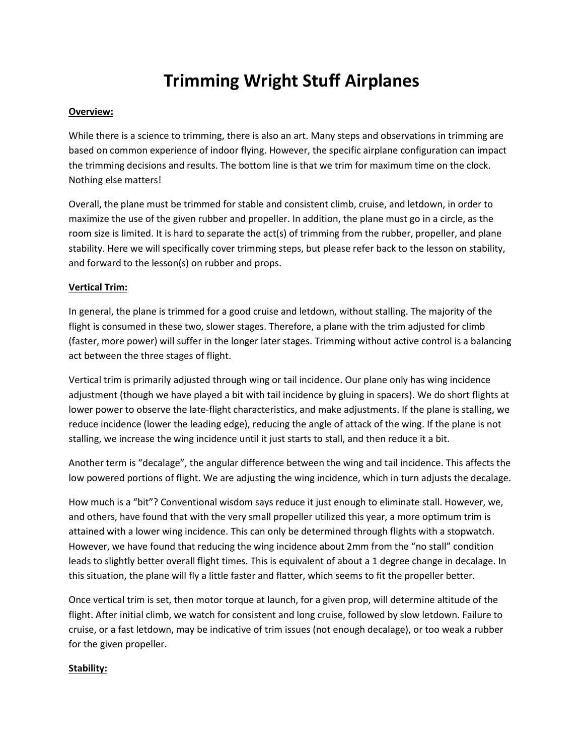# **Trimming Wright Stuff Airplanes**

## **Overview:**

While there is a science to trimming, there is also an art. Many steps and observations in trimming are based on common experience of indoor flying. However, the specific airplane configuration can impact the trimming decisions and results. The bottom line is that we trim for maximum time on the clock. Nothing else matters!

Overall, the plane must be trimmed for stable and consistent climb, cruise, and letdown, in order to maximize the use of the given rubber and propeller. In addition, the plane must go in a circle, as the room size is limited. It is hard to separate the act(s) of trimming from the rubber, propeller, and plane stability. Here we will specifically cover trimming steps, but please refer back to the lesson on stability, and forward to the lesson(s) on rubber and props.

## **Vertical Trim:**

In general, the plane is trimmed for a good cruise and letdown, without stalling. The majority of the flight is consumed in these two, slower stages. Therefore, a plane with the trim adjusted for climb (faster, more power) will suffer in the longer later stages. Trimming without active control is a balancing act between the three stages of flight.

Vertical trim is primarily adjusted through wing or tail incidence. Our plane only has wing incidence adjustment (though we have played a bit with tail incidence by gluing in spacers). We do short flights at lower power to observe the late-flight characteristics, and make adjustments. If the plane is stalling, we reduce incidence (lower the leading edge), reducing the angle of attack of the wing. If the plane is not stalling, we increase the wing incidence until it just starts to stall, and then reduce it a bit.

Another term is "decalage", the angular difference between the wing and tail incidence. This affects the low powered portions of flight. We are adjusting the wing incidence, which in turn adjusts the decalage.

How much is a "bit"? Conventional wisdom says reduce it just enough to eliminate stall. However, we, and others, have found that with the very small propeller utilized this year, a more optimum trim is attained with a lower wing incidence. This can only be determined through flights with a stopwatch. However, we have found that reducing the wing incidence about 2mm from the "no stall" condition leads to slightly better overall flight times. This is equivalent of about a 1 degree change in decalage. In this situation, the plane will fly a little faster and flatter, which seems to fit the propeller better.

Once vertical trim is set, then motor torque at launch, for a given prop, will determine altitude of the flight. After initial climb, we watch for consistent and long cruise, followed by slow letdown. Failure to cruise, or a fast letdown, may be indicative of trim issues (not enough decalage), or too weak a rubber for the given propeller.

#### **Stability:**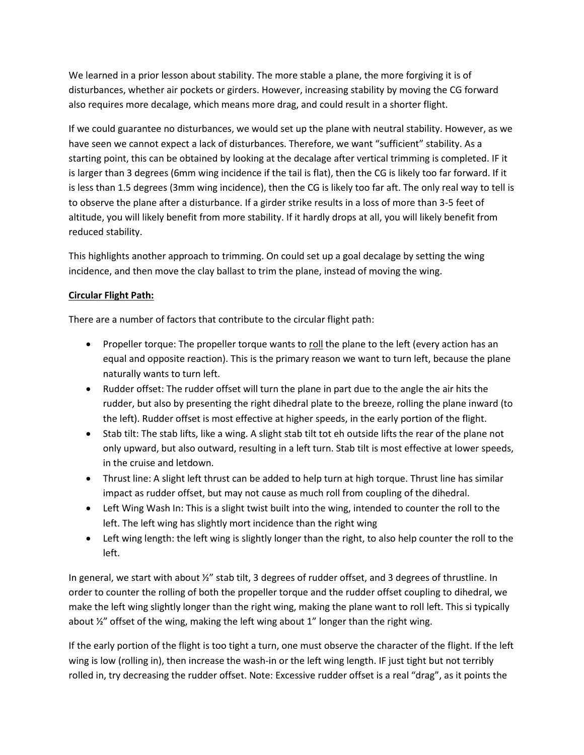We learned in a prior lesson about stability. The more stable a plane, the more forgiving it is of disturbances, whether air pockets or girders. However, increasing stability by moving the CG forward also requires more decalage, which means more drag, and could result in a shorter flight.

If we could guarantee no disturbances, we would set up the plane with neutral stability. However, as we have seen we cannot expect a lack of disturbances. Therefore, we want "sufficient" stability. As a starting point, this can be obtained by looking at the decalage after vertical trimming is completed. IF it is larger than 3 degrees (6mm wing incidence if the tail is flat), then the CG is likely too far forward. If it is less than 1.5 degrees (3mm wing incidence), then the CG is likely too far aft. The only real way to tell is to observe the plane after a disturbance. If a girder strike results in a loss of more than 3-5 feet of altitude, you will likely benefit from more stability. If it hardly drops at all, you will likely benefit from reduced stability.

This highlights another approach to trimming. On could set up a goal decalage by setting the wing incidence, and then move the clay ballast to trim the plane, instead of moving the wing.

# **Circular Flight Path:**

There are a number of factors that contribute to the circular flight path:

- Propeller torque: The propeller torque wants to roll the plane to the left (every action has an equal and opposite reaction). This is the primary reason we want to turn left, because the plane naturally wants to turn left.
- Rudder offset: The rudder offset will turn the plane in part due to the angle the air hits the rudder, but also by presenting the right dihedral plate to the breeze, rolling the plane inward (to the left). Rudder offset is most effective at higher speeds, in the early portion of the flight.
- Stab tilt: The stab lifts, like a wing. A slight stab tilt tot eh outside lifts the rear of the plane not only upward, but also outward, resulting in a left turn. Stab tilt is most effective at lower speeds, in the cruise and letdown.
- Thrust line: A slight left thrust can be added to help turn at high torque. Thrust line has similar impact as rudder offset, but may not cause as much roll from coupling of the dihedral.
- Left Wing Wash In: This is a slight twist built into the wing, intended to counter the roll to the left. The left wing has slightly mort incidence than the right wing
- Left wing length: the left wing is slightly longer than the right, to also help counter the roll to the left.

In general, we start with about  $\frac{y}{2}$  stab tilt, 3 degrees of rudder offset, and 3 degrees of thrustline. In order to counter the rolling of both the propeller torque and the rudder offset coupling to dihedral, we make the left wing slightly longer than the right wing, making the plane want to roll left. This si typically about ½" offset of the wing, making the left wing about 1" longer than the right wing.

If the early portion of the flight is too tight a turn, one must observe the character of the flight. If the left wing is low (rolling in), then increase the wash-in or the left wing length. IF just tight but not terribly rolled in, try decreasing the rudder offset. Note: Excessive rudder offset is a real "drag", as it points the